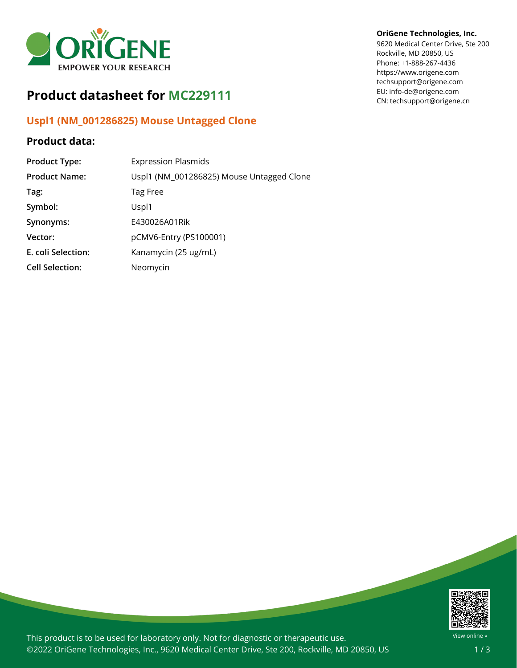

# **Product datasheet for MC229111**

## **Uspl1 (NM\_001286825) Mouse Untagged Clone**

## **Product data:**

| <b>Product Type:</b>   | <b>Expression Plasmids</b>                |
|------------------------|-------------------------------------------|
| <b>Product Name:</b>   | Uspl1 (NM_001286825) Mouse Untagged Clone |
| Tag:                   | Tag Free                                  |
| Symbol:                | Uspl1                                     |
| Synonyms:              | E430026A01Rik                             |
| Vector:                | pCMV6-Entry (PS100001)                    |
| E. coli Selection:     | Kanamycin (25 ug/mL)                      |
| <b>Cell Selection:</b> | Neomycin                                  |

#### **OriGene Technologies, Inc.**

9620 Medical Center Drive, Ste 200 Rockville, MD 20850, US Phone: +1-888-267-4436 https://www.origene.com techsupport@origene.com EU: info-de@origene.com CN: techsupport@origene.cn



This product is to be used for laboratory only. Not for diagnostic or therapeutic use. ©2022 OriGene Technologies, Inc., 9620 Medical Center Drive, Ste 200, Rockville, MD 20850, US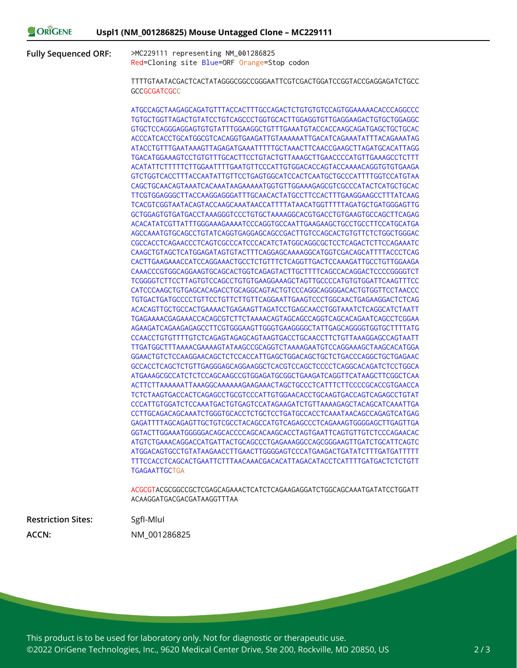**Fully Sequenced ORF:** >MC229111 representing NM\_001286825 Red=Cloning site Blue=ORF Orange=Stop codon

> TTTTGTAATACGACTCACTATAGGGCGGCCGGGAATTCGTCGACTGGATCCGGTACCGAGGAGATCTGCC **GCCGCGATCGCC**

> ATGCCAGCTAAGAGCAGATGTTTACCACTTTGCCAGACTCTGTGTGTCCAGTGGAAAAACACCCAGGCCC TGTGCTGGTTAGACTGTATCCTGTCAGCCCTGGTGCACTTGGAGGTGTTGAGGAAGACTGTGCTGGAGGC GTGCTCCAGGGAGGAGTGTGTATTTGGAAGGCTGTTTGAAATGTACCACCAAGCAGATGAGCTGCTGCAC ACCCATCACCTGCATGGCGTCACAGGTGAAGATTGTAAAAAATTGACATCAGAAATATTTACAGAAATAG ATACCTGTTTGAATAAAGTTAGAGATGAAATTTTTGCTAAACTTCAACCGAAGCTTAGATGCACATTAGG TGACATGGAAAGTCCTGTGTTTGCACTTCCTGTACTGTTAAAGCTTGAACCCCATGTTGAAAGCCTCTTT ACATATTCTTTTTCTTGGAATTTTGAATGTTCCCATTGTGGACACCAGTACCAAAACAGGTGTGTGAAGA GTCTGGTCACCTTTACCAATATTGTTCCTGAGTGGCATCCACTCAATGCTGCCCATTTTGGTCCATGTAA CAGCTGCAACAGTAAATCACAAATAAGAAAAATGGTGTTGGAAAGAGCGTCGCCCATACTCATGCTGCAC TTCGTGGAGGGCTTACCAAGGAGGGATTTGCAACACTATGCCTTCCACTTTGAAGGAAGCCTTTATCAAG TCACGTCGGTAATACAGTACCAAGCAAATAACCATTTTATAACATGGTTTTTAGATGCTGATGGGAGTTG GCTGGAGTGTGATGACCTAAAGGGTCCCTGTGCTAAAAGGCACGTGACCTGTGAAGTGCCAGCTTCAGAG ACACATATCGTTATTTGGGAAAGAAAATCCCAGGTGCCAATTGAAGAAGCTGCCTGCCTTCCATGCATGA AGCCAAATGTGCAGCCTGTATCAGGTGAGGAGCAGCCGACTTGTCCAGCACTGTGTTCTCTGGCTGGGAC CGCCACCTCAGAACCCTCAGTCGCCCATCCCACATCTATGGCAGGCGCTCCTCAGACTCTTCCAGAAATC CAAGCTGTAGCTCATGGAGATAGTGTACTTTCAGGAGCAAAAGGCATGGTCGACAGCATTTTACCCTCAG CACTTGAAGAAACCATCCAGGAAACTGCCTCTGTTTCTCAGGTTGACTCCAAAGATTGCCTGTTGGAAGA CAAACCCGTGGCAGGAAGTGCAGCACTGGTCAGAGTACTTGCTTTTCAGCCACAGGACTCCCCGGGGTCT TCGGGGTCTTCCTTAGTGTCCAGCCTGTGTGAAGGAAAGCTAGTTGCCCCATGTGTGGATTCAAGTTTCC CATCCCAAGCTGTGAGCACAGACCTGCAGGCAGTACTGTCCCAGGCAGGGGACACTGTGGTTCCTAACCC TGTGACTGATGCCCCTGTTCCTGTTCTTGTTCAGGAATTGAAGTCCCTGGCAACTGAGAAGGACTCTCAG ACACAGTTGCTGCCACTGAAAACTGAGAAGTTAGATCCTGAGCAACCTGGTAAATCTCAGGCATCTAATT TGAGAAAACGAGAAACCACAGCGTCTTCTAAAACAGTAGCAGCCAGGTCAGCACAGAATCAGCCTCGGAA AGAAGATCAGAAGAGAGCCTTCGTGGGAAGTTGGGTGAAGGGGCTATTGAGCAGGGGTGGTGCTTTTATG CCAACCTGTGTTTTGTCTCAGAGTAGAGCAGTAAGTGACCTGCAACCTTCTGTTAAAGGAGCCAGTAATT TTGATGGCTTTAAAACGAAAAGTATAAGCCGCAGGTCTAAAAGAATGTCCAGGAAAGCTAAGCACATGGA GGAACTGTCTCCAAGGAACAGCTCTCCACCATTGAGCTGGACAGCTGCTCTGACCCAGGCTGCTGAGAAC GCCACCTCAGCTCTGTTGAGGGAGCAGGAAGGCTCACGTCCAGCTCCCCTCAGGCACAGATCTCCTGGCA ATGAAAGCGCCATCTCTCCAGCAAGCCGTGGAGATGCGGCTGAAGATCAGGTTCATAAGCTTCGGCTCAA ACTTCTTAAAAAATTAAAGGCAAAAAAGAAGAAACTAGCTGCCCTCATTTCTTCCCCGCACCGTGAACCA TCTCTAAGTGACCACTCAGAGCCTGCGTCCCATTGTGGAACACCTGCAAGTGACCAGTCAGAGCCTGTAT CCCATTGTGGATCTCCAAATGACTGTGAGTCCATAGAAGATCTGTTAAAAGAGCTACAGCATCAAATTGA CCTTGCAGACAGCAAATCTGGGTGCACCTCTGCTCCTGATGCCACCTCAAATAACAGCCAGAGTCATGAG GAGATTTTAGCAGAGTTGCTGTCGCCTACAGCCATGTCAGAGCCCTCAGAAAGTGGGGAGCTTGAGTTGA GGTACTTGGAAATGGGGGACAGCACCCCAGCACAAGCACCTAGTGAATTCAGTGTTGTCTCCCAGAACAC ATGTCTGAAACAGGACCATGATTACTGCAGCCCTGAGAAAGGCCAGCGGGAAGTTGATCTGCATTCAGTC ATGGACAGTGCCTGTATAAGAACCTTGAACTTGGGGAGTCCCATGAAGACTGATATCTTTGATGATTTTT TTTCCACCTCAGCACTGAATTCTTTAACAAACGACACATTAGACATACCTCATTTTGATGACTCTCTGTT **TGAGAATTGCTGA**

> ACGCGTACGCGGCCGCTCGAGCAGAAACTCATCTCAGAAGAGGATCTGGCAGCAAATGATATCCTGGATT ACAAGGATGACGACGATAAGGTTTAA

**Restriction Sites:** SgfI-MluI **ACCN:** NM\_001286825

This product is to be used for laboratory only. Not for diagnostic or therapeutic use. ©2022 OriGene Technologies, Inc., 9620 Medical Center Drive, Ste 200, Rockville, MD 20850, US